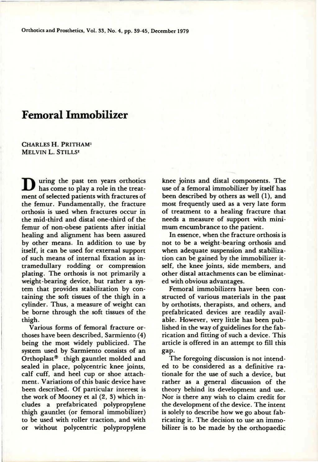# **Femoral Immobilizer**

**C**HARLES H. **P**RITHAM<sup>1</sup> MELVIN L. STILLS<sup>2</sup>

**D**uring the past ten years orthotics has come to play a role in the treatment of selected patients with fractures of the femur. Fundamentally, the fracture orthosis is used when fractures occur in the mid-third and distal one-third of the femur of non-obese patients after initial healing and alignment has been assured by other means. In addition to use by itself, it can be used for external support of such means of internal fixation as intramedullary rodding or compression plating. The orthosis is not primarily a weight-bearing device, but rather a system that provides stabilization by containing the soft tissues of the thigh in a cylinder. Thus, a measure of weight can be borne through the soft tissues of the thigh.

Various forms of femoral fracture orthoses have been described, Sarmiento (4) being the most widely publicized. The system used by Sarmiento consists of an Orthoplast® thigh gauntlet molded and sealed in place, polycentric knee joints, calf cuff, and heel cup or shoe attachment. Variations of this basic device have been described. Of particular interest is the work of Mooney et al (2, 3) which includes a prefabricated polypropylene thigh gauntlet (or femoral immobilizer) to be used with roller traction, and with or without polycentric polypropylene

knee joints and distal components. The use of a femoral immobilizer by itself has been described by others as well (1), and most frequently used as a very late form of treatment to a healing fracture that needs a measure of support with minimum encumbrance to the patient.

In essence, when the fracture orthosis is not to be a weight-bearing orthosis and when adequate suspension and stabilization can be gained by the immobilizer itself, the knee joints, side members, and other distal attachments can be eliminated with obvious advantages.

Femoral immobilizers have been constructed of various materials in the past by orthotists, therapists, and others, and prefabricated devices are readily available. However, very little has been published in the way of guidelines for the fabrication and fitting of such a device. This article is offered in an attempt to fill this gap

The foregoing discussion is not intended to be considered as a definitive rationale for the use of such a device, but rather as a general discussion of the theory behind its development and use. Nor is there any wish to claim credit for the development of the device. The intent is solely to describe how we go about fabricating it. The decision to use an immobilizer is to be made by the orthopaedic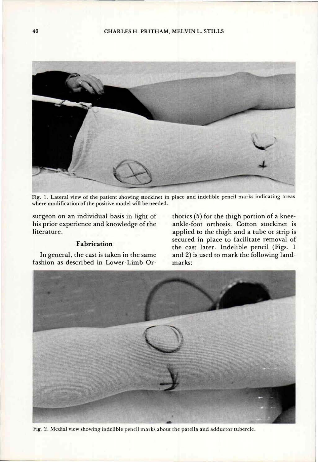

Fig. 1. Lateral view of the patient showing stockinet in place and indelible pencil marks indicating areas **wher e modificatio n o f th e positiv e mode l will b e needed .** 

**surgeon on an individual basis in light of his prior experience and knowledge of the literature.** 

## **Fabrication**

**In general, the cast is taken in the same fashion as described in Lower-Limb Or-** **thotics** (5) **for the thigh portion of a kneeankle-foot orthosis. Cotton stockinet is applied to the thigh and a tube or strip is secured in place to facilitate removal of the cast later. Indelible pencil (Figs.** 1 **and** 2) **is used to mark the following landmarks:** 



**Fig . 2. Media l vie w showin g indelibl e penci l mark s abou t th e patell a an d adducto r tubercle .**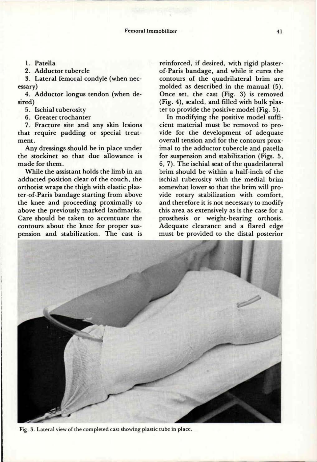1. Patella

2. Adductor tubercle

3. Lateral femoral condyle (when necessary)

4. Adductor longus tendon (when desired)

5. Ischial tuberosity

6. Greater trochanter

7. Fracture site and any skin lesions that require padding or special treatment.

Any dressings should be in place under the stockinet so that due allowance is made for them.

While the assistant holds the limb in an adducted position clear of the couch, the ter-of-Paris bandage starting from above the knee and proceeding proximally to above the previously marked landmarks. Care should be taken to accentuate the contours about the knee for proper suspension and stabilization. The cast is

reinforced, if desired, with rigid plasterof-Paris bandage, and while it cures the contours of the quadrilateral brim are molded as described in the manual (5). Once set, the cast (Fig. 3) is removed (Fig. 4), sealed, and filled with bulk plaster to provide the positive model (Fig. 5).

adducted position clear of the coden, the starting from above with the includer of influence of that the brim will pro-In modifying the positive model sufficient material must be removed to provide for the development of adequate overall tension and for the contours proximal to the adductor tubercle and patella for suspension and stabilization (Figs. 5, 6, 7). The ischial seat of the quadrilateral brim should be within a half-inch of the ischial tuberosity with the medial brim vide rotary stabilization with comfort, and therefore it is not necessary to modify this area as extensively as is the case for a prosthesis or weight-bearing orthosis. Adequate clearance and a flared edge must be provided to the distal posterior



**Fig. 3. Lateral view of the completed cast showing plastic tube in place.**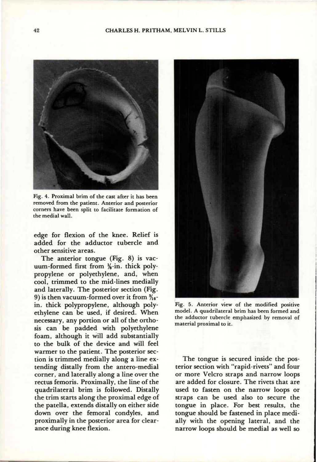#### CHARLES H. PRITHAM, MELVIN L. STILLS



**Fig. 4. Proximal brim of the cast after it has been removed from the patient. Anterior and posterior corners have been split to facilitate formation of the medial wall.** 

edge for flexion of the knee. Relief is added for the adductor tubercle and other sensitive areas.

The anterior tongue (Fig. 8) is vacuum-formed first from 1/8-in. thick polypropylene or polyethylene, and, when cool, trimmed to the mid-lines medially and laterally. The posterior section (Fig. 9) is then vacuum-formed over it from **<sup>3</sup> / 1 <sup>6</sup>**  in. thick polypropylene, although polyethylene can be used, if desired. When necessary, any portion or all of the orthosis can be padded with polyethylene foam, although it will add substantially to the bulk of the device and will feel warmer to the patient. The posterior section is trimmed medially along a line extending distally from the antero-medial corner, and laterally along a line over the rectus femoris. Proximally, the line of the quadrilateral brim is followed. Distally the trim starts along the proximal edge of the patella, extends distally on either side down over the femoral condyles, and proximally in the posterior area for clearance during knee flexion.



**Fig. 5. Anterior view of the modified positive model. A quadrilateral brim has been formed and the adductor tubercle emphasized by removal of material proximal to it.** 

The tongue is secured inside the posterior section with "rapid-rivets" and four or more Velcro straps and narrow loops are added for closure. The rivets that are used to fasten on the narrow loops or straps can be used also to secure the tongue in place. For best results, the tongue should be fastened in place medially with the opening lateral, and the narrow loops should be medial as well so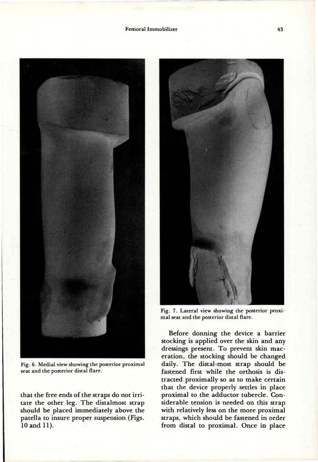**Femoral Immobilizer** 



**Fig. 6. Medial view showing the posterior proximal seat and the posterior distal flare.** 

that the free ends of the straps do not irritate the other leg. The distalmost strap should be placed immediately above the patella to insure proper suspension (Figs. 10 and 11).



**Fig. 7. Lateral view showing the posterior proximal seat and the posterior distal flare.** 

Before donning the device a barrier stocking is applied over the skin and any dressings present. To prevent skin maceration, the stocking should be changed daily. The distal-most strap should be fastened first while the orthosis is distracted proximally so as to make certain that the device properly settles in place proximal to the adductor tubercle. Considerable tension is needed on this strap with relatively less on the more proximal straps, which should be fastened in order from distal to proximal. Once in place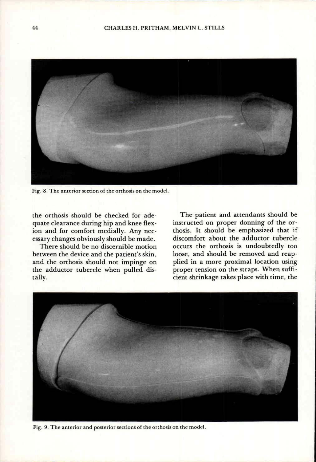

Fig. 8. The anterior section of the orthosis on the model.

**the orthosis should be checked for adequate clearance during hip and knee flexion and for comfort medially. Any necessary changes obviously should be made.** 

**There should be no discernible motion between the device and the patient's skin, and the orthosis should not impinge on the adductor tubercle when pulled distally.** 

**The patient and attendants should be instructed on proper donning of the orthosis. It should be emphasized that if discomfort about the adductor tubercle occurs the orthosis is undoubtedly too loose, and should be removed and reapplied in a more proximal location using proper tension on the straps. When sufficient shrinkage takes place with time, the** 



Fig. **9.** The anterior and posterior sections of the orthosis on the model.